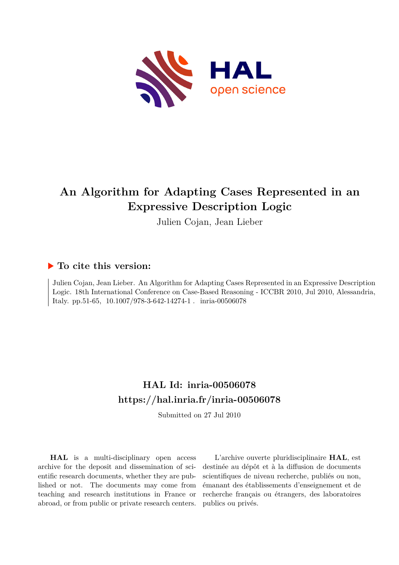

# **An Algorithm for Adapting Cases Represented in an Expressive Description Logic**

Julien Cojan, Jean Lieber

# **To cite this version:**

Julien Cojan, Jean Lieber. An Algorithm for Adapting Cases Represented in an Expressive Description Logic. 18th International Conference on Case-Based Reasoning - ICCBR 2010, Jul 2010, Alessandria, Italy. pp.51-65,  $10.1007/978-3-642-14274-1$ . inria-00506078

# **HAL Id: inria-00506078 <https://hal.inria.fr/inria-00506078>**

Submitted on 27 Jul 2010

**HAL** is a multi-disciplinary open access archive for the deposit and dissemination of scientific research documents, whether they are published or not. The documents may come from teaching and research institutions in France or abroad, or from public or private research centers.

L'archive ouverte pluridisciplinaire **HAL**, est destinée au dépôt et à la diffusion de documents scientifiques de niveau recherche, publiés ou non, émanant des établissements d'enseignement et de recherche français ou étrangers, des laboratoires publics ou privés.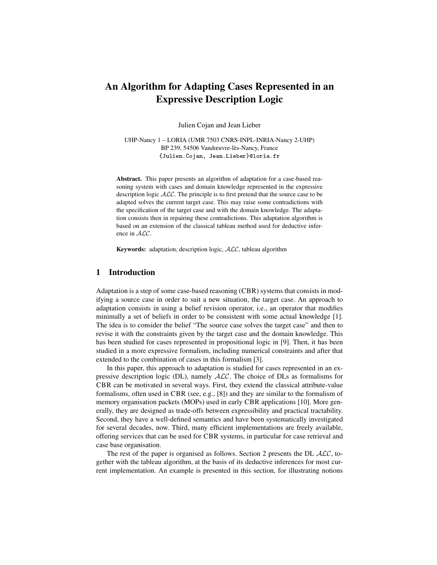# An Algorithm for Adapting Cases Represented in an Expressive Description Logic

Julien Cojan and Jean Lieber

UHP-Nancy 1 – LORIA (UMR 7503 CNRS-INPL-INRIA-Nancy 2-UHP) BP 239, 54506 Vandœuvre-lès-Nancy, France {Julien.Cojan, Jean.Lieber}@loria.fr

Abstract. This paper presents an algorithm of adaptation for a case-based reasoning system with cases and domain knowledge represented in the expressive description logic ALC. The principle is to first pretend that the source case to be adapted solves the current target case. This may raise some contradictions with the specification of the target case and with the domain knowledge. The adaptation consists then in repairing these contradictions. This adaptation algorithm is based on an extension of the classical tableau method used for deductive inference in ALC.

Keywords: adaptation, description logic, ALC, tableau algorithm

# 1 Introduction

Adaptation is a step of some case-based reasoning (CBR) systems that consists in modifying a source case in order to suit a new situation, the target case. An approach to adaptation consists in using a belief revision operator, i.e., an operator that modifies minimally a set of beliefs in order to be consistent with some actual knowledge [1]. The idea is to consider the belief "The source case solves the target case" and then to revise it with the constraints given by the target case and the domain knowledge. This has been studied for cases represented in propositional logic in [9]. Then, it has been studied in a more expressive formalism, including numerical constraints and after that extended to the combination of cases in this formalism [3].

In this paper, this approach to adaptation is studied for cases represented in an expressive description logic (DL), namely  $\text{ALC}$ . The choice of DLs as formalisms for CBR can be motivated in several ways. First, they extend the classical attribute-value formalisms, often used in CBR (see, e.g., [8]) and they are similar to the formalism of memory organisation packets (MOPs) used in early CBR applications [10]. More generally, they are designed as trade-offs between expressibility and practical tractability. Second, they have a well-defined semantics and have been systematically investigated for several decades, now. Third, many efficient implementations are freely available, offering services that can be used for CBR systems, in particular for case retrieval and case base organisation.

The rest of the paper is organised as follows. Section 2 presents the DL  $ALC$ , together with the tableau algorithm, at the basis of its deductive inferences for most current implementation. An example is presented in this section, for illustrating notions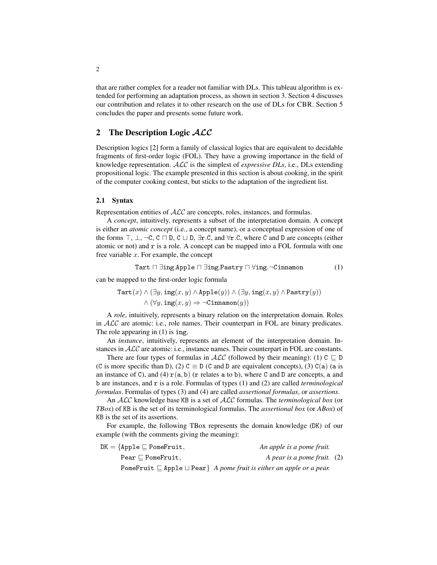that are rather complex for a reader not familiar with DLs. This tableau algorithm is extended for performing an adaptation process, as shown in section 3. Section 4 discusses our contribution and relates it to other research on the use of DLs for CBR. Section 5 concludes the paper and presents some future work.

# 2 The Description Logic  $\mathcal{ALC}$

Description logics [2] form a family of classical logics that are equivalent to decidable fragments of first-order logic (FOL). They have a growing importance in the field of knowledge representation. ALC is the simplest of *expressive DLs*, i.e., DLs extending propositional logic. The example presented in this section is about cooking, in the spirit of the computer cooking contest, but sticks to the adaptation of the ingredient list.

### 2.1 Syntax

Representation entities of ALC are concepts, roles, instances, and formulas.

A *concept*, intuitively, represents a subset of the interpretation domain. A concept is either an *atomic concept* (i.e., a concept name), or a conceptual expression of one of the forms  $\top$ ,  $\bot$ ,  $\neg C$ ,  $C \sqcap D$ ,  $C \sqcup D$ ,  $\exists r.C$ , and  $\forall r.C$ , where  $C$  and  $D$  are concepts (either atomic or not) and r is a role. A concept can be mapped into a FOL formula with one free variable  $x$ . For example, the concept

$$
\texttt{ Tart} \sqcap \exists \texttt{ing}.\texttt{Apple} \sqcap \exists \texttt{ing}.\texttt{Pasty} \sqcap \forall \texttt{ing}.\neg \texttt{Cinnamon} \tag{1}
$$

can be mapped to the first-order logic formula

$$
\text{Tart}(x) \land (\exists y, \text{ing}(x, y) \land \text{Apple}(y)) \land (\exists y, \text{ing}(x, y) \land \text{Pastry}(y))
$$

$$
\land (\forall y, \text{ing}(x, y) \Rightarrow \neg \text{Cinnamon}(y))
$$

A *role*, intuitively, represents a binary relation on the interpretation domain. Roles in ALC are atomic: i.e., role names. Their counterpart in FOL are binary predicates. The role appearing in  $(1)$  is ing.

An *instance*, intuitively, represents an element of the interpretation domain. Instances in ALC are atomic: i.e., instance names. Their counterpart in FOL are constants.

There are four types of formulas in  $\mathcal{ALC}$  (followed by their meaning): (1)  $\mathcal{C} \sqsubseteq \mathcal{D}$ (C is more specific than D), (2)  $C \equiv D$  (C and D are equivalent concepts), (3) C(a) (a is an instance of C), and (4)  $r(a, b)$  (r relates a to b), where C and D are concepts, a and ❜ are instances, and r is a role. Formulas of types (1) and (2) are called *terminological formulas*. Formulas of types (3) and (4) are called *assertional formulas*, or *assertions*.

An ALC knowledge base KB is a set of ALC formulas. The *terminological box* (or *TBox*) of KB is the set of its terminological formulas. The *assertional box* (or *ABox*) of KB is the set of its assertions.

For example, the following TBox represents the domain knowledge (DK) of our example (with the comments giving the meaning):

| $DK = \{ Apple \sqsubseteq PomeFruit,$ | An apple is a pome fruit.                                                                 |  |
|----------------------------------------|-------------------------------------------------------------------------------------------|--|
| $Pear \sqsubseteq$ PomeFruit.          | A pear is a pome fruit. (2)                                                               |  |
|                                        | PomeFruit $\subseteq$ Apple $\sqcup$ Pear $\}$ A pome fruit is either an apple or a pear. |  |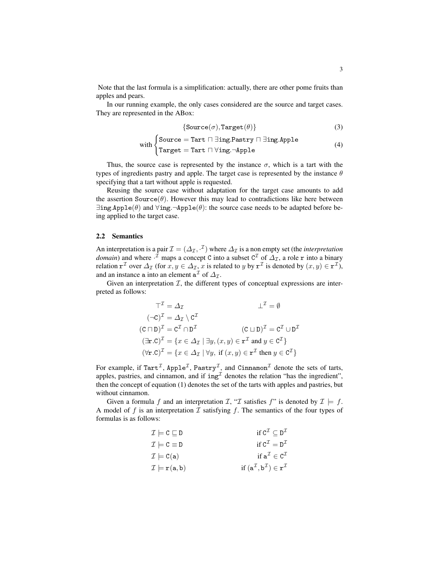Note that the last formula is a simplification: actually, there are other pome fruits than apples and pears.

In our running example, the only cases considered are the source and target cases. They are represented in the ABox:

$$
{\text{Source}(\sigma), \text{Target}(\theta)}\tag{3}
$$

$$
\text{with} \begin{cases} \text{Source} = \text{Tart} \sqcap \exists \text{ing}.\text{Pastry} \sqcap \exists \text{ing}.\text{Apple} \\ \text{Target} = \text{Tart} \sqcap \forall \text{ing}.\neg \text{Apple} \end{cases} \tag{4}
$$

Thus, the source case is represented by the instance  $\sigma$ , which is a tart with the types of ingredients pastry and apple. The target case is represented by the instance  $\theta$ specifying that a tart without apple is requested.

Reusing the source case without adaptation for the target case amounts to add the assertion Source( $\theta$ ). However this may lead to contradictions like here between  $\exists$ ing.Apple( $\theta$ ) and  $\forall$ ing.¬Apple( $\theta$ ): the source case needs to be adapted before being applied to the target case.

# 2.2 Semantics

An interpretation is a pair  $\mathcal{I} = (\Delta_{\mathcal{I}}, \cdot^{\mathcal{I}})$  where  $\Delta_{\mathcal{I}}$  is a non empty set (the *interpretation domain*) and where  $\cdot^{\mathcal{I}}$  maps a concept C into a subset  $C^{\mathcal{I}}$  of  $\Delta_{\mathcal{I}}$ , a role r into a binary relation  $\mathbf{r}^\mathcal{I}$  over  $\Delta_\mathcal{I}$  (for  $x, y \in \Delta_\mathcal{I}$ , x is related to y by  $\mathbf{r}^\mathcal{I}$  is denoted by  $(x, y) \in \mathbf{r}^\mathcal{I}$ ), and an instance a into an element  $a^{\mathcal{I}}$  of  $\Delta_{\mathcal{I}}$ .

Given an interpretation  $I$ , the different types of conceptual expressions are interpreted as follows:

$$
\top^{\mathcal{I}} = \Delta_{\mathcal{I}} \qquad \qquad \bot^{\mathcal{I}} = \emptyset
$$
  
\n
$$
(\neg \mathbf{C})^{\mathcal{I}} = \Delta_{\mathcal{I}} \setminus \mathbf{C}^{\mathcal{I}}
$$
  
\n
$$
(\mathbf{C} \sqcap \mathbf{D})^{\mathcal{I}} = \mathbf{C}^{\mathcal{I}} \cap \mathbf{D}^{\mathcal{I}}
$$
  
\n
$$
(\exists \mathbf{r}.\mathbf{C})^{\mathcal{I}} = \{x \in \Delta_{\mathcal{I}} \mid \exists y, (x, y) \in \mathbf{r}^{\mathcal{I}} \text{ and } y \in \mathbf{C}^{\mathcal{I}}\}
$$
  
\n
$$
(\forall \mathbf{r}.\mathbf{C})^{\mathcal{I}} = \{x \in \Delta_{\mathcal{I}} \mid \forall y, \text{ if } (x, y) \in \mathbf{r}^{\mathcal{I}} \text{ then } y \in \mathbf{C}^{\mathcal{I}}\}
$$

For example, if Tart $^{\mathcal{I}}$ , Apple $^{\mathcal{I}}$ , Pastry $^{\mathcal{I}}$ , and Cinnamon $^{\mathcal{I}}$  denote the sets of tarts, apples, pastries, and cinnamon, and if  $ing<sup>Z</sup>$  denotes the relation "has the ingredient", then the concept of equation (1) denotes the set of the tarts with apples and pastries, but without cinnamon.

Given a formula f and an interpretation I, "I satisfies f" is denoted by  $\mathcal{I} \models f$ . A model of f is an interpretation  $\mathcal I$  satisfying f. The semantics of the four types of formulas is as follows:

| $\mathcal{I} \models C \sqsubseteq D$ | if $C^{\mathcal{I}} \subseteq D^{\mathcal{I}}$              |
|---------------------------------------|-------------------------------------------------------------|
| $\mathcal{I} \models C \equiv D$      | if $C^{\mathcal{I}} \subseteq D^{\mathcal{I}}$              |
| $\mathcal{I} \models C(a)$            | if $a^{\mathcal{I}} \in C^{\mathcal{I}}$                    |
| $\mathcal{I} \models r(a, b)$         | if $(a^{\mathcal{I}}, b^{\mathcal{I}}) \in r^{\mathcal{I}}$ |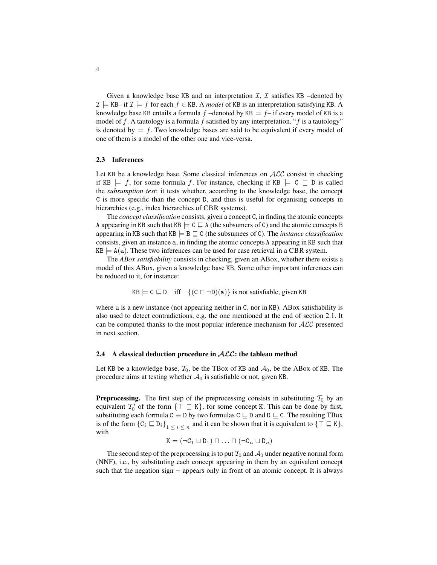Given a knowledge base  $KB$  and an interpretation  $I, I$  satisfies  $KB$  –denoted by  $\mathcal{I} \models$  KB– if  $\mathcal{I} \models f$  for each  $f \in$  KB. A *model* of KB is an interpretation satisfying KB. A knowledge base KB entails a formula f –denoted by  $KB \models f$ – if every model of KB is a model of  $f$ . A tautology is a formula  $f$  satisfied by any interpretation. " $f$  is a tautology" is denoted by  $\models f$ . Two knowledge bases are said to be equivalent if every model of one of them is a model of the other one and vice-versa.

#### 2.3 Inferences

Let KB be a knowledge base. Some classical inferences on  $\mathcal{ALC}$  consist in checking if  $KB \models f$ , for some formula f. For instance, checking if  $KB \models C \sqsubseteq D$  is called the *subsumption test*: it tests whether, according to the knowledge base, the concept  $C$  is more specific than the concept  $D$ , and thus is useful for organising concepts in hierarchies (e.g., index hierarchies of CBR systems).

The *concept classification* consists, given a concept  $C$ , in finding the atomic concepts A appearing in KB such that KB  $\models C \sqsubseteq A$  (the subsumers of C) and the atomic concepts B appearing in KB such that KB  $\models B \sqsubseteq C$  (the subsumees of C). The *instance classification* consists, given an instance a, in finding the atomic concepts A appearing in KB such that  $KB \models A(a)$ . These two inferences can be used for case retrieval in a CBR system.

The *ABox satisfiability* consists in checking, given an ABox, whether there exists a model of this ABox, given a knowledge base KB. Some other important inferences can be reduced to it, for instance:

$$
KB \models C \sqsubseteq D \quad \text{iff} \quad \{ (C \sqcap \neg D)(a) \} \text{ is not satisfiable, given KB}
$$

where  $a$  is a new instance (not appearing neither in  $C$ , nor in  $KB$ ). ABox satisfiability is also used to detect contradictions, e.g. the one mentioned at the end of section 2.1. It can be computed thanks to the most popular inference mechanism for  $ALC$  presented in next section.

#### 2.4 A classical deduction procedure in  $ALC$ : the tableau method

Let KB be a knowledge base,  $\mathcal{T}_0$ , be the TBox of KB and  $\mathcal{A}_0$ , be the ABox of KB. The procedure aims at testing whether  $A_0$  is satisfiable or not, given KB.

**Preprocessing.** The first step of the preprocessing consists in substituting  $\mathcal{T}_0$  by an equivalent  $\mathcal{T}'_0$  of the form  $\{\top \sqsubseteq K\}$ , for some concept K. This can be done by first, substituting each formula  $C \equiv D$  by two formulas  $C \sqsubseteq D$  and  $D \sqsubseteq C$ . The resulting TBox is of the form  ${C_i \sqsubseteq D_i}_{1 \leq i \leq n}$  and it can be shown that it is equivalent to  ${\top \sqsubseteq K}$ , with

$$
K = (\neg C_1 \sqcup D_1) \sqcap \ldots \sqcap (\neg C_n \sqcup D_n)
$$

The second step of the preprocessing is to put  $T_0$  and  $A_0$  under negative normal form (NNF), i.e., by substituting each concept appearing in them by an equivalent concept such that the negation sign  $\neg$  appears only in front of an atomic concept. It is always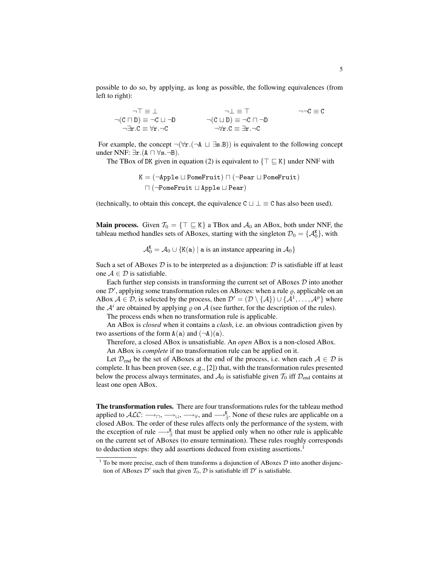possible to do so, by applying, as long as possible, the following equivalences (from left to right):

$$
\neg T \equiv \bot
$$
  
\n
$$
\neg (C \sqcap D) \equiv \neg C \sqcup \neg D
$$
  
\n
$$
\neg T \equiv \bot
$$
  
\n
$$
\neg L \equiv T
$$
  
\n
$$
\neg \neg C \equiv C
$$
  
\n
$$
\neg (C \sqcup D) \equiv \neg C \sqcap \neg D
$$
  
\n
$$
\neg T \equiv \bot
$$
  
\n
$$
\neg \neg C \equiv C
$$
  
\n
$$
\neg \neg C \equiv C
$$

For example, the concept  $\neg(\forall r.(\neg A \sqcup \exists s.B))$  is equivalent to the following concept under NNF:  $\exists$ r.(A  $\sqcap \forall$ s.¬B).

The TBox of DK given in equation (2) is equivalent to  $\{\top \sqsubset K\}$  under NNF with

$$
K = (\neg \text{Apple} \sqcup \text{PomeFruit}) \sqcap (\neg \text{Pear} \sqcup \text{PomeFruit})
$$
  

$$
\sqcap (\neg \text{PomeFruit} \sqcup \text{Apple} \sqcup \text{Pear})
$$

(technically, to obtain this concept, the equivalence  $C \sqcup \bot \equiv C$  has also been used).

**Main process.** Given  $\mathcal{T}_0 = \{ \top \sqsubseteq K \}$  a TBox and  $\mathcal{A}_0$  an ABox, both under NNF, the tableau method handles sets of ABoxes, starting with the singleton  $\mathcal{D}_0 = {\{\mathcal{A}_0^K\}}$ , with

 $\mathcal{A}_0^{\mathsf{K}} = \mathcal{A}_0 \cup \{ \mathsf{K}(\mathsf{a}) \mid \mathsf{a} \text{ is an instance appearing in } \mathcal{A}_0 \}$ 

Such a set of ABoxes  $\mathcal D$  is to be interpreted as a disjunction:  $\mathcal D$  is satisfiable iff at least one  $A \in \mathcal{D}$  is satisfiable.

Each further step consists in transforming the current set of ABoxes  $D$  into another one  $\mathcal{D}'$ , applying some transformation rules on ABoxes: when a rule  $\varrho$ , applicable on an ABox  $A \in \mathcal{D}$ , is selected by the process, then  $\mathcal{D}' = (\mathcal{D} \setminus \{A\}) \cup \{A^1, \dots, A^p\}$  where the  $A^i$  are obtained by applying  $\varrho$  on A (see further, for the description of the rules).

The process ends when no transformation rule is applicable.

An ABox is *closed* when it contains a *clash*, i.e. an obvious contradiction given by two assertions of the form  $A(a)$  and  $(\neg A)(a)$ .

Therefore, a closed ABox is unsatisfiable. An *open* ABox is a non-closed ABox.

An ABox is *complete* if no transformation rule can be applied on it.

Let  $\mathcal{D}_{\text{end}}$  be the set of ABoxes at the end of the process, i.e. when each  $A \in \mathcal{D}$  is complete. It has been proven (see, e.g., [2]) that, with the transformation rules presented below the process always terminates, and  $A_0$  is satisfiable given  $T_0$  iff  $\mathcal{D}_{end}$  contains at least one open ABox.

The transformation rules. There are four transformations rules for the tableau method applied to  $\mathcal{ALC}:$   $\longrightarrow_{\Box}, \longrightarrow_{\forall}$ , and  $\longrightarrow_{\exists}^{\kappa}$ . None of these rules are applicable on a closed ABox. The order of these rules affects only the performance of the system, with the exception of rule  $\longrightarrow_{\exists}^{K}$  that must be applied only when no other rule is applicable on the current set of ABoxes (to ensure termination). These rules roughly corresponds to deduction steps: they add assertions deduced from existing assertions.<sup>1</sup>

 $1$  To be more precise, each of them transforms a disjunction of ABoxes  $D$  into another disjunction of ABoxes  $\mathcal{D}'$  such that given  $\mathcal{T}_0$ ,  $\mathcal{D}$  is satisfiable iff  $\mathcal{D}'$  is satisfiable.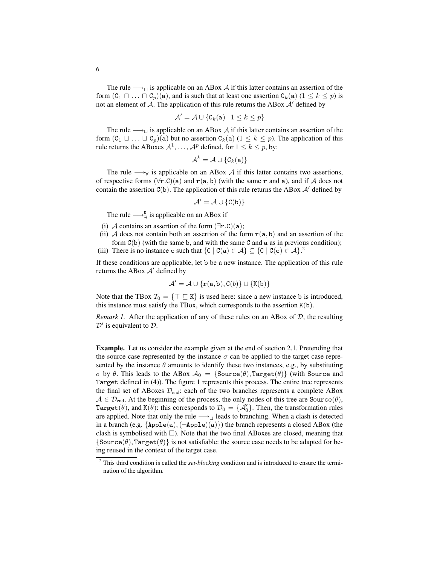The rule  $\longrightarrow$ <sub> $\sqcap$ </sub> is applicable on an ABox A if this latter contains an assertion of the form  $(C_1 \sqcap \ldots \sqcap C_p)(a)$ , and is such that at least one assertion  $C_k(a)$   $(1 \leq k \leq p)$  is not an element of  $A$ . The application of this rule returns the ABox  $A'$  defined by

$$
\mathcal{A}' = \mathcal{A} \cup \{ \mathsf{C}_k(\mathtt{a}) \mid 1 \leq k \leq p \}
$$

The rule  $\longrightarrow$ <sub>⊔</sub> is applicable on an ABox A if this latter contains an assertion of the form  $(C_1 \sqcup ... \sqcup C_p)(a)$  but no assertion  $C_k(a)$   $(1 \leq k \leq p)$ . The application of this rule returns the ABoxes  $\mathcal{A}^1$ , ...,  $\mathcal{A}^p$  defined, for  $1 \leq k \leq p$ , by:

$$
\mathcal{A}^k = \mathcal{A} \cup \{\mathtt{C}_k(\mathtt{a})\}
$$

The rule  $\longrightarrow_{\forall}$  is applicable on an ABox A if this latter contains two assertions, of respective forms  $(\forall r.C)(\texttt{a})$  and  $r(\texttt{a},\texttt{b})$  (with the same r and  $\texttt{a})$ , and if A does not contain the assertion  $C(b)$ . The application of this rule returns the ABox  $A'$  defined by

$$
\mathcal{A}' = \mathcal{A} \cup \{C(b)\}
$$

The rule  $\longrightarrow_{\exists}^{K}$  is applicable on an ABox if

- (i) A contains an assertion of the form  $(\exists r.C)(\alpha);$
- (ii) A does not contain both an assertion of the form  $r(a, b)$  and an assertion of the form  $C(b)$  (with the same  $b$ , and with the same  $C$  and  $a$  as in previous condition);
- (iii) There is no instance c such that  $\{C \mid C(a) \in \mathcal{A}\} \subseteq \{C \mid C(c) \in \mathcal{A}\}.^2$

If these conditions are applicable, let b be a new instance. The application of this rule returns the ABox  $A'$  defined by

$$
\mathcal{A}' = \mathcal{A} \cup \{ \mathbf{r}(\mathbf{a}, \mathbf{b}), \mathbf{C}(b) \} \cup \{ \mathbf{K}(\mathbf{b}) \}
$$

Note that the TBox  $\mathcal{T}_0 = {\top \sqsubseteq K}$  is used here: since a new instance b is introduced, this instance must satisfy the TBox, which corresponds to the assertion  $K(b)$ .

*Remark 1.* After the application of any of these rules on an ABox of D, the resulting  $\mathcal{D}'$  is equivalent to  $\mathcal{D}$ .

Example. Let us consider the example given at the end of section 2.1. Pretending that the source case represented by the instance  $\sigma$  can be applied to the target case represented by the instance  $\theta$  amounts to identify these two instances, e.g., by substituting σ by θ. This leads to the ABox  $A_0 = \{Source(\theta), Target(\theta)\}$  (with Source and Target defined in (4)). The figure 1 represents this process. The entire tree represents the final set of ABoxes  $\mathcal{D}_{end}$ : each of the two branches represents a complete ABox  $A \in \mathcal{D}_{end}$ . At the beginning of the process, the only nodes of this tree are Source $(\theta)$ , Target $(\theta)$ , and K $(\theta)$ : this corresponds to  $\mathcal{D}_0 = \{\mathcal{A}_0^K\}$ . Then, the transformation rules are applied. Note that only the rule  $\longrightarrow$  $\Box$  leads to branching. When a clash is detected in a branch (e.g.  $\{Apple(a), (\neg Apple)(a)\}\$ ) the branch represents a closed ABox (the clash is symbolised with  $\square$ ). Note that the two final ABoxes are closed, meaning that  $\{\text{Source}(\theta), \text{Target}(\theta)\}\$ is not satisfiable: the source case needs to be adapted for being reused in the context of the target case.

<sup>2</sup> This third condition is called the *set-blocking* condition and is introduced to ensure the termination of the algorithm.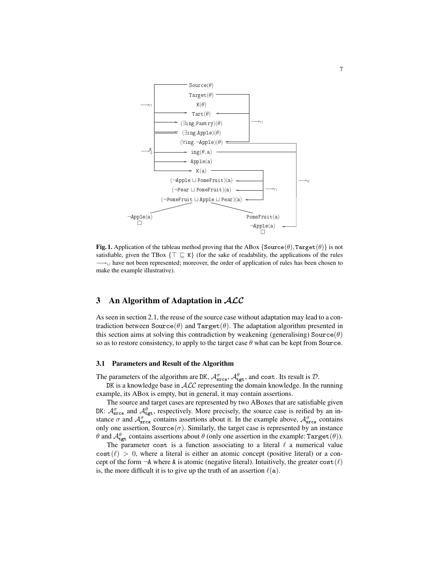

Fig. 1. Application of the tableau method proving that the ABox {Source( $\theta$ ), Target( $\theta$ )} is not satisfiable, given the TBox  $\{\top \sqsubseteq K\}$  (for the sake of readability, the applications of the rules →⊥ have not been represented; moreover, the order of application of rules has been chosen to make the example illustrative).

# 3 An Algorithm of Adaptation in  $ALC$

As seen in section 2.1, the reuse of the source case without adaptation may lead to a contradiction between Source( $\theta$ ) and Target( $\theta$ ). The adaptation algorithm presented in this section aims at solving this contradiction by weakening (generalising)  $Source(\theta)$ so as to restore consistency, to apply to the target case  $\theta$  what can be kept from Source.

#### 3.1 Parameters and Result of the Algorithm

The parameters of the algorithm are DK,  $\mathcal{A}^{\sigma}_{\text{srce}}, \mathcal{A}^{\theta}_{\text{tgt}}$ , and cost. Its result is  $\mathcal{D}$ .

DK is a knowledge base in  $ALC$  representing the domain knowledge. In the running example, its ABox is empty, but in general, it may contain assertions.

The source and target cases are represented by two ABoxes that are satisfiable given DK:  $A_{\text{srce}}^{\sigma}$  and  $A_{\text{tgt}}^{\theta}$ , respectively. More precisely, the source case is reified by an instance  $\sigma$  and  $\mathcal{A}^{\sigma}_{\text{srce}}$  contains assertions about it. In the example above,  $\mathcal{A}^{\sigma}_{\text{srce}}$  contains only one assertion,  $Source(\sigma)$ . Similarly, the target case is represented by an instance θ and  $\mathcal{A}^{\theta}_{\text{tgt}}$  contains assertions about θ (only one assertion in the example: Target(θ)).

The parameter cost is a function associating to a literal  $\ell$  a numerical value  $cost(\ell) > 0$ , where a literal is either an atomic concept (positive literal) or a concept of the form  $\neg A$  where A is atomic (negative literal). Intuitively, the greater  $\cos t(\ell)$ is, the more difficult it is to give up the truth of an assertion  $\ell(a)$ .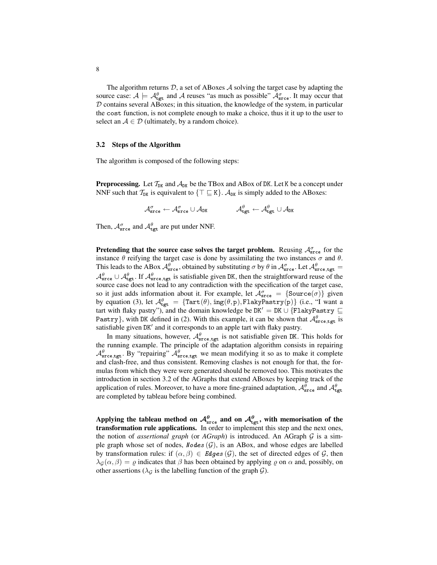The algorithm returns  $D$ , a set of ABoxes  $\mathcal A$  solving the target case by adapting the source case:  $A \models A_{\text{tgt}}^{\theta}$  and A reuses "as much as possible"  $A_{\text{srce}}^{\sigma}$ . It may occur that  $D$  contains several ABoxes; in this situation, the knowledge of the system, in particular the cost function, is not complete enough to make a choice, thus it it up to the user to select an  $A \in \mathcal{D}$  (ultimately, by a random choice).

### 3.2 Steps of the Algorithm

The algorithm is composed of the following steps:

**Preprocessing.** Let  $\mathcal{T}_{DK}$  and  $\mathcal{A}_{DK}$  be the TBox and ABox of DK. Let K be a concept under NNF such that  $\mathcal{T}_{DK}$  is equivalent to  $\{\top \sqsubseteq K\}$ .  $\mathcal{A}_{DK}$  is simply added to the ABoxes:

 $\mathcal{A}^{\sigma}_{\texttt{srce}} \leftarrow \mathcal{A}^{\sigma}_{\texttt{srce}} \cup \mathcal{A}_{\texttt{DK}} \qquad \qquad \mathcal{A}^{\theta}_{\texttt{tgt}} \leftarrow \mathcal{A}^{\theta}_{\texttt{tgt}} \cup \mathcal{A}_{\texttt{DK}}$ 

Then,  $\mathcal{A}_{\text{srce}}^{\sigma}$  and  $\mathcal{A}_{\text{tgt}}^{\theta}$  are put under NNF.

Pretending that the source case solves the target problem. Reusing  $A_{\text{src}}^{\sigma}$  for the instance  $\theta$  reifying the target case is done by assimilating the two instances  $\sigma$  and  $\theta$ . This leads to the ABox  $A_{\text{srce}}^{\theta}$ , obtained by substituting  $\sigma$  by  $\theta$  in  $A_{\text{srce}}^{\sigma}$ . Let  $A_{\text{srce,tgt}}^{\theta}$  $\mathcal{A}_{\text{src}}^{\theta} \cup \mathcal{A}_{\text{tgt}}^{\theta}$ . If  $\mathcal{A}_{\text{srce,tgt}}^{\theta}$  is satisfiable given DK, then the straightforward reuse of the source case does not lead to any contradiction with the specification of the target case, so it just adds information about it. For example, let  $\mathcal{A}^{\sigma}_{\text{srce}} = {\text{Source}(\sigma)}$  given by equation (3), let  $\mathcal{A}^{\theta}_{\texttt{tgt}}~=~\{\texttt{ Tart}(\theta),\texttt{ing}(\theta,\texttt{p}),\texttt{FlakyPasty}(\texttt{p})\}$  (i.e., "I want a tart with flaky pastry"), and the domain knowledge be  $DK' = DK \cup \{FlakyPastry \sqsubseteq$ Pastry}, with DK defined in (2). With this example, it can be shown that  $\mathcal{A}^{\theta}_{\texttt{srce}, \texttt{tgt}}$  is satisfiable given DK' and it corresponds to an apple tart with flaky pastry.

In many situations, however,  $\mathcal{A}^{\theta}_{\text{srce}, \text{tgt}}$  is not satisfiable given DK. This holds for the running example. The principle of the adaptation algorithm consists in repairing  $\mathcal{A}^{\theta}_{\text{srce}, \text{tgt}}$ . By "repairing"  $\mathcal{A}^{\theta}_{\text{srce}, \text{tgt}}$  we mean modifying it so as to make it complete and clash-free, and thus consistent. Removing clashes is not enough for that, the formulas from which they were were generated should be removed too. This motivates the introduction in section 3.2 of the AGraphs that extend ABoxes by keeping track of the application of rules. Moreover, to have a more fine-grained adaptation,  $A^{\theta}_{\text{srce}}$  and  $A^{\theta}_{\text{tgt}}$ are completed by tableau before being combined.

Applying the tableau method on  $\mathcal{A}^{\theta}_{\text{srce}}$  and on  $\mathcal{A}^{\theta}_{\text{tgt}},$  with memorisation of the transformation rule applications. In order to implement this step and the next ones, the notion of *assertional graph* (or *AGraph*) is introduced. An *AGraph*  $G$  is a simple graph whose set of nodes,  $\textit{Nodes}(G)$ , is an ABox, and whose edges are labelled by transformation rules: if  $(\alpha, \beta) \in Edges(\mathcal{G})$ , the set of directed edges of  $\mathcal{G}$ , then  $\lambda_G(\alpha, \beta) = \varrho$  indicates that  $\beta$  has been obtained by applying  $\varrho$  on  $\alpha$  and, possibly, on other assertions ( $\lambda$ <sup>G</sup> is the labelling function of the graph  $\mathcal{G}$ ).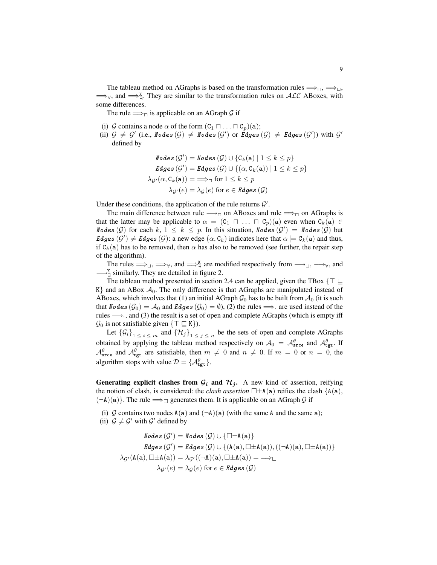The tableau method on AGraphs is based on the transformation rules  $\implies_{\Box}$ ,  $\implies_{\Box}$ ,  $\Rightarrow$   $\forall$ , and  $\Rightarrow$   $\frac{R}{3}$ . They are similar to the transformation rules on ALC ABoxes, with some differences.

The rule  $\Longrightarrow_{\Box}$  is applicable on an AGraph G if

- (i) G contains a node  $\alpha$  of the form  $(C_1 \sqcap \ldots \sqcap C_n)(a)$ ;
- (ii)  $\mathcal{G} \,\neq\, \mathcal{G}'$  (i.e., Nodes  $(\mathcal{G}) \,\neq\,$  Nodes  $(\mathcal{G}')$  or Edges  $(\mathcal{G}) \,\neq\,$  Edges  $(\mathcal{G}'))$  with  $\mathcal{G}'$ defined by

$$
\text{Nodes } (\mathcal{G}') = \text{Nodes } (\mathcal{G}) \cup \{C_k(a) \mid 1 \leq k \leq p\}
$$
\n
$$
\text{Edges } (\mathcal{G}') = \text{Edges } (\mathcal{G}) \cup \{(\alpha, C_k(a)) \mid 1 \leq k \leq p\}
$$
\n
$$
\lambda_{\mathcal{G}'}(\alpha, C_k(a)) = \Longrightarrow_{\sqcap} \text{for } 1 \leq k \leq p
$$
\n
$$
\lambda_{\mathcal{G}'}(e) = \lambda_{\mathcal{G}}(e) \text{ for } e \in \text{Edges } (\mathcal{G})
$$

Under these conditions, the application of the rule returns  $\mathcal{G}'$ .

The main difference between rule  $\longrightarrow$ <sub>□</sub> on ABoxes and rule  $\Longrightarrow$ <sub>□</sub> on AGraphs is that the latter may be applicable to  $\alpha = (C_1 \cap ... \cap C_p)(a)$  even when  $C_k(a) \in$ *Nodes*  $(G)$  for each  $k, 1 \leq k \leq p$ . In this situation, *Nodes*  $(G') =$  *Nodes*  $(G)$  but *Edges*  $(G') \neq Edges(G)$ : a new edge  $(\alpha, C_k)$  indicates here that  $\alpha \models C_k(a)$  and thus, if  $C_k(a)$  has to be removed, then  $\alpha$  has also to be removed (see further, the repair step of the algorithm).

The rules  $\Longrightarrow$ <sub>⊔</sub>,  $\Longrightarrow_{\forall}$ , and  $\Longrightarrow_{\exists}^{\mathbb{K}}$  are modified respectively from  $\longrightarrow_{\sqcup}$ ,  $\longrightarrow_{\forall}$ , and  $\longrightarrow_{\exists}^{K}$  similarly. They are detailed in figure 2.

The tableau method presented in section 2.4 can be applied, given the TBox {⊤ ⊑  $K$  and an ABox  $\mathcal{A}_0$ . The only difference is that AGraphs are manipulated instead of ABoxes, which involves that (1) an initial AGraph  $\mathcal{G}_0$  has to be built from  $\mathcal{A}_0$  (it is such that *Nodes* ( $\mathcal{G}_0$ ) =  $\mathcal{A}_0$  and *Edges* ( $\mathcal{G}_0$ ) =  $\emptyset$ ), (2) the rules  $\implies$  are used instead of the rules −→· , and (3) the result is a set of open and complete AGraphs (which is empty iff  $\mathcal{G}_0$  is not satisfiable given  $\{\top \sqsubseteq K\}$ ).

Let  $\{\mathcal{G}_i\}_{1 \leq i \leq m}$  and  $\{\mathcal{H}_j\}_{1 \leq j \leq n}$  be the sets of open and complete AGraphs obtained by applying the tableau method respectively on  $A_0 = A_{\text{srce}}^{\theta}$  and  $A_{\text{tgt}}^{\theta}$ . If  $\mathcal{A}^{\theta}_{\texttt{src}}$  and  $\mathcal{A}^{\theta}_{\texttt{tgt}}$  are satisfiable, then  $m \neq 0$  and  $n \neq 0$ . If  $m = 0$  or  $n = 0$ , the algorithm stops with value  $\mathcal{D} = \{ \mathcal{A}^{\theta}_{\texttt{tgt}} \}.$ 

Generating explicit clashes from  $G_i$  and  $H_j$ . A new kind of assertion, reifying the notion of clash, is considered: the *clash assertion*  $\Box \pm A(a)$  reifies the clash { $A(a)$ ,  $(\neg A)(a)$ . The rule  $\Longrightarrow_{\Box}$  generates them. It is applicable on an AGraph G if

(i) G contains two nodes  $A(a)$  and  $(\neg A)(a)$  (with the same A and the same a); (ii)  $\mathcal{G} \neq \mathcal{G}'$  with  $\mathcal{G}'$  defined by

$$
\begin{array}{c} \textit{Nodes}\left(\mathcal{G}'\right)=\textit{Nodes}\left(\mathcal{G}\right)\cup\{\Box\pm\mathrm{A}(\mathtt{a})\}\\ \textit{Edges}\left(\mathcal{G}'\right)=\textit{Edges}\left(\mathcal{G}\right)\cup\left\{\left(\mathrm{A}(\mathtt{a}),\Box\pm\mathrm{A}(\mathtt{a})\right),\left((\neg\mathrm{A})(\mathtt{a}),\Box\pm\mathrm{A}(\mathtt{a})\right)\right\} \\ \textit{ \lambda}_{\mathcal{G}'}(\mathrm{A}(\mathtt{a}),\Box\pm\mathrm{A}(\mathtt{a}))=\lambda_{\mathcal{G}'}(\left(\neg\mathrm{A}\right)(\mathtt{a}),\Box\pm\mathrm{A}(\mathtt{a}) )=\Longrightarrow_{\Box}\\ \textit{ \lambda}_{\mathcal{G}'}(e)=\lambda_{\mathcal{G}}(e)\; \text{for}\; e\in\textit{Edges}\left(\mathcal{G}\right) \end{array}
$$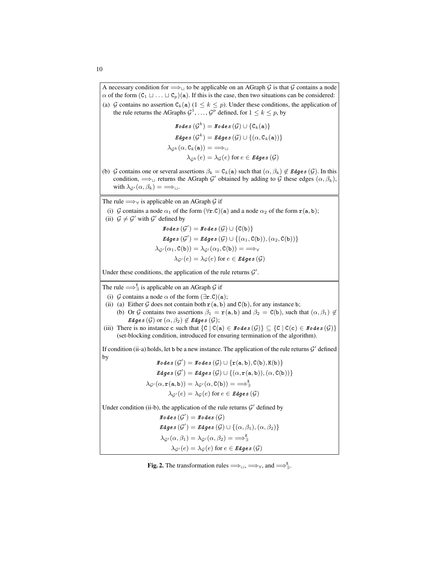A necessary condition for  $\implies$  to be applicable on an AGraph G is that G contains a node  $\alpha$  of the form  $(C_1 \sqcup \ldots \sqcup C_p)(\mathsf{a})$ . If this is the case, then two situations can be considered: (a) G contains no assertion  $C_k(a)$  ( $1 \leq k \leq p$ ). Under these conditions, the application of the rule returns the AGraphs  $\mathcal{G}^1, \ldots, \mathcal{G}^p$  defined, for  $1 \leq k \leq p$ , by

> $\textit{Nodes} \left( \mathcal{G}^k \right) = \textit{Nodes} \left( \mathcal{G} \right) \cup \{ \texttt{C}_k(\texttt{a}) \}$  $\textit{Edges}~({\mathcal G}^k) = \textit{Edges}~({\mathcal G}) \cup \{(\alpha,{\mathtt C}_k({\mathtt a}))\}$  $\lambda_{\mathcal{G}^k}(\alpha, \mathbf{C}_k(\mathbf{a})) = \Longrightarrow$  $\lambda_{G^k}(e) = \lambda_{\mathcal{G}}(e)$  for  $e \in \mathit{Edges}(\mathcal{G})$

(b) G contains one or several assertions  $\beta_k = C_k(a)$  such that  $(\alpha, \beta_k) \notin \mathbf{Edges}(\mathcal{G})$ . In this condition,  $\Longrightarrow$   $\Box$  returns the AGraph  $\mathcal{G}'$  obtained by adding to  $\mathcal{G}$  these edges  $(\alpha, \beta_k)$ , with  $\lambda_{G'}(\alpha, \beta_k) = \Longrightarrow$ 

The rule  $\Longrightarrow_{\forall}$  is applicable on an AGraph G if

(i) G contains a node  $\alpha_1$  of the form  $(\forall r.C)(a)$  and a node  $\alpha_2$  of the form  $r(a, b)$ ; (ii)  $\mathcal{G} \neq \mathcal{G}'$  with  $\mathcal{G}'$  defined by

- $\mathit{Nodes}(\mathcal{G}') = \mathit{Nodes}(\mathcal{G}) \cup \{C(b)\}$  $Edges(\mathcal{G}') = Edges(\mathcal{G}) \cup \{(\alpha_1, \texttt{C}(\texttt{b})), (\alpha_2, \texttt{C}(\texttt{b}))\}$  $\lambda_{G'}(\alpha_1, \mathtt{C(b)}) = \lambda_{G'}(\alpha_2, \mathtt{C(b)}) = \Longrightarrow_{\forall}$ 
	- $\lambda_{\mathcal{G}'}(e) = \lambda_{\mathcal{G}}(e)$  for  $e \in \mathit{Edges}(\mathcal{G})$

Under these conditions, the application of the rule returns  $\mathcal{G}'$ .

The rule  $\Longrightarrow_{\exists}^{\mathbf{K}}$  is applicable on an AGraph  $\mathcal{G}$  if

- (i) G contains a node  $\alpha$  of the form  $(\exists$ **r**.C)(**a**);
- (ii) (a) Either G does not contain both  $r(a, b)$  and  $C(b)$ , for any instance b;
	- (b) Or G contains two assertions  $\beta_1 = \mathbf{r}(\mathbf{a}, \mathbf{b})$  and  $\beta_2 = \mathbf{C}(\mathbf{b})$ , such that  $(\alpha, \beta_1) \notin$ *Edges* ( $G$ ) or  $(\alpha, \beta_2) \notin Edges(G);$
- (iii) There is no instance c such that  $\{C \mid C(a) \in \mathbb{N} \text{odes } (\mathcal{G})\} \subseteq \{C \mid C(c) \in \mathbb{N} \text{odes } (\mathcal{G})\}$ (set-blocking condition, introduced for ensuring termination of the algorithm).

If condition (ii-a) holds, let b be a new instance. The application of the rule returns  $\mathcal{G}'$  defined by

 $\mathit{Nodes}(\mathcal{G}') = \mathit{Nodes}(\mathcal{G}) \cup \{r(a, b), C(b), K(b)\}$ 

$$
\mathit{Edges}\;(\mathcal{G}')=\mathit{Edges}\;(\mathcal{G})\cup\{(\alpha,\mathtt{r}(\mathtt{a},\mathtt{b})),(\alpha,\mathtt{C}(\mathtt{b}))\}
$$

$$
\lambda_{\mathcal{G}'}(\alpha, \mathbf{r}(\mathbf{a}, \mathbf{b})) = \lambda_{\mathcal{G}'}(\alpha, \mathbf{C}(\mathbf{b})) = \Longrightarrow_{\exists}^{\underline{\kappa}} \newline \lambda_{\mathcal{G}'}(e) = \lambda_{\mathcal{G}}(e) \text{ for } e \in \mathbf{Edges}(\mathcal{G})
$$

Under condition (ii-b), the application of the rule returns  $\mathcal{G}'$  defined by

\n
$$
\text{Nodes } (G') = \text{Nodes } (G)
$$
\n

\n\n $\text{Edges } (G') = \text{Edges } (G) \cup \{(\alpha, \beta_1), (\alpha, \beta_2)\}$ \n

\n\n $\lambda_{G'}(\alpha, \beta_1) = \lambda_{G'}(\alpha, \beta_2) = \Longrightarrow^{\mathbb{K}}_{\exists}$ \n

\n\n $\lambda_{G'}(e) = \lambda_{G}(e) \text{ for } e \in \text{Edges } (G)$ \n

**Fig. 2.** The transformation rules  $\Longrightarrow$   $\sqcup$ ,  $\Longrightarrow$   $\forall$ , and  $\Longrightarrow$   $\frac{K}{3}$ .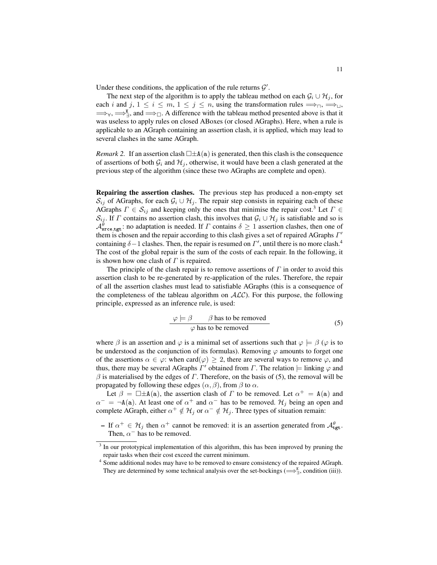Under these conditions, the application of the rule returns  $\mathcal{G}'$ .

The next step of the algorithm is to apply the tableau method on each  $G_i \cup \mathcal{H}_j$ , for each *i* and j,  $1 \le i \le m$ ,  $1 \le j \le n$ , using the transformation rules  $\implies_{\Box}$ ,  $\implies_{\Box}$ ,  $\Rightarrow_{\forall} \Rightarrow_{\exists}^{R}$ , and  $\Rightarrow_{\Box}$ . A difference with the tableau method presented above is that it was useless to apply rules on closed ABoxes (or closed AGraphs). Here, when a rule is applicable to an AGraph containing an assertion clash, it is applied, which may lead to several clashes in the same AGraph.

*Remark 2.* If an assertion clash  $\Box \pm A(a)$  is generated, then this clash is the consequence of assertions of both  $G_i$  and  $H_i$ , otherwise, it would have been a clash generated at the previous step of the algorithm (since these two AGraphs are complete and open).

Repairing the assertion clashes. The previous step has produced a non-empty set  $S_{ij}$  of AGraphs, for each  $G_i \cup \mathcal{H}_i$ . The repair step consists in repairing each of these AGraphs  $\Gamma \in \mathcal{S}_{ij}$  and keeping only the ones that minimise the repair cost.<sup>3</sup> Let  $\Gamma \in$  $S_{ij}$ . If *Γ* contains no assertion clash, this involves that  $G_i \cup H_j$  is satisfiable and so is  $\mathcal{A}_{\texttt{srce}, \texttt{tgt}}^{\hat{\theta}}$ : no adaptation is needed. If  $\Gamma$  contains  $\delta \geq 1$  assertion clashes, then one of them is chosen and the repair according to this clash gives a set of repaired AGraphs Γ ′ containing  $\delta - 1$  clashes. Then, the repair is resumed on  $\Gamma'$ , until there is no more clash.<sup>4</sup> The cost of the global repair is the sum of the costs of each repair. In the following, it is shown how one clash of  $\Gamma$  is repaired.

The principle of the clash repair is to remove assertions of  $\Gamma$  in order to avoid this assertion clash to be re-generated by re-application of the rules. Therefore, the repair of all the assertion clashes must lead to satisfiable AGraphs (this is a consequence of the completeness of the tableau algorithm on  $ALC$ ). For this purpose, the following principle, expressed as an inference rule, is used:

$$
\frac{\varphi \models \beta \qquad \beta \text{ has to be removed}}{\varphi \text{ has to be removed}} \tag{5}
$$

where  $\beta$  is an assertion and  $\varphi$  is a minimal set of assertions such that  $\varphi \models \beta$  ( $\varphi$  is to be understood as the conjunction of its formulas). Removing  $\varphi$  amounts to forget one of the assertions  $\alpha \in \varphi$ : when card $(\varphi) \geq 2$ , there are several ways to remove  $\varphi$ , and thus, there may be several AGraphs  $\Gamma'$  obtained from  $\Gamma$ . The relation  $\models$  linking  $\varphi$  and  $\beta$  is materialised by the edges of  $\Gamma$ . Therefore, on the basis of (5), the removal will be propagated by following these edges  $(\alpha, \beta)$ , from  $\beta$  to  $\alpha$ .

Let  $\beta = \Box \pm A(a)$ , the assertion clash of  $\Gamma$  to be removed. Let  $\alpha^+ = A(a)$  and  $\alpha^- = \neg A(a)$ . At least one of  $\alpha^+$  and  $\alpha^-$  has to be removed.  $\mathcal{H}_j$  being an open and complete AGraph, either  $\alpha^+ \notin \mathcal{H}_j$  or  $\alpha^- \notin \mathcal{H}_j$ . Three types of situation remain:

- If  $\alpha^+ \in \mathcal{H}_j$  then  $\alpha^+$  cannot be removed: it is an assertion generated from  $\mathcal{A}_{\text{tgt}}^{\theta}$ . Then,  $\alpha^-$  has to be removed.

 $3$  In our prototypical implementation of this algorithm, this has been improved by pruning the repair tasks when their cost exceed the current minimum.

<sup>&</sup>lt;sup>4</sup> Some additional nodes may have to be removed to ensure consistency of the repaired AGraph. They are determined by some technical analysis over the set-bockings  $(\Longrightarrow^{\kappa}_{\exists}$ , condition (iii)).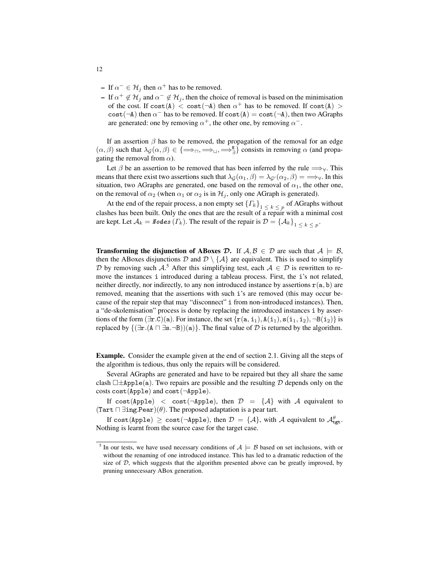- If  $\alpha^- \in \mathcal{H}_j$  then  $\alpha^+$  has to be removed.
- If  $\alpha^+ \notin \mathcal{H}_j$  and  $\alpha^- \notin \mathcal{H}_j$ , then the choice of removal is based on the minimisation of the cost. If  $cost(A) < cost(\neg A)$  then  $\alpha^+$  has to be removed. If  $cost(A) >$  $\text{cost}(\neg A)$  then  $\alpha^-$  has to be removed. If  $\text{cost}(A) = \text{cost}(\neg A)$ , then two AGraphs are generated: one by removing  $\alpha^+$ , the other one, by removing  $\alpha^-$ .

If an assertion  $\beta$  has to be removed, the propagation of the removal for an edge  $(\alpha, \beta)$  such that  $\lambda_{\mathcal{G}}(\alpha, \beta) \in \{\implies_{\Box}, \implies_{\Box}\}$  consists in removing  $\alpha$  (and propagating the removal from  $\alpha$ ).

Let  $\beta$  be an assertion to be removed that has been inferred by the rule  $\Longrightarrow_{\forall}$ . This means that there exist two assertions such that  $\lambda_{\mathcal{G}}(\alpha_1, \beta) = \lambda_{\mathcal{G}}(\alpha_2, \beta) = \Longrightarrow_{\forall}$ . In this situation, two AGraphs are generated, one based on the removal of  $\alpha_1$ , the other one, on the removal of  $\alpha_2$  (when  $\alpha_1$  or  $\alpha_2$  is in  $\mathcal{H}_i$ , only one AGraph is generated).

At the end of the repair process, a non empty set  ${K_k}_{1 \leq k \leq p}$  of AGraphs without clashes has been built. Only the ones that are the result of a repair with a minimal cost are kept. Let  $\mathcal{A}_k = \textit{Nodes}(F_k)$ . The result of the repair is  $\mathcal{D} = \{\mathcal{A}_k\}_{1 \leq k \leq p}$ .

**Transforming the disjunction of ABoxes D.** If  $A, B \in \mathcal{D}$  are such that  $A \models B$ , then the ABoxes disjunctions  $D$  and  $D \setminus \{A\}$  are equivalent. This is used to simplify D by removing such  $A$ <sup>5</sup>. After this simplifying test, each  $A \in \mathcal{D}$  is rewritten to remove the instances i introduced during a tableau process. First, the i's not related, neither directly, nor indirectly, to any non introduced instance by assertions  $r(a, b)$  are removed, meaning that the assertions with such i's are removed (this may occur because of the repair step that may "disconnect" i from non-introduced instances). Then, a "de-skolemisation" process is done by replacing the introduced instances i by assertions of the form  $(\exists r.C)(a)$ . For instance, the set  $\{r(a,i_1), A(i_1), s(i_1,i_2), \neg B(i_2)\}$  is replaced by  $\{(\exists r.((A \cap \exists s. \neg B))(a)\})$ . The final value of D is returned by the algorithm.

Example. Consider the example given at the end of section 2.1. Giving all the steps of the algorithm is tedious, thus only the repairs will be considered.

Several AGraphs are generated and have to be repaired but they all share the same clash  $\Box \pm \text{Apple}(\mathbf{a})$ . Two repairs are possible and the resulting D depends only on the costs  $cost(Apple)$  and  $cost(\neg Apple)$ .

If  $cost(\text{Apple}) < cost(\text{Apple})$ , then  $D = \{A\}$  with A equivalent to (Tart  $\Box$  ∃ing.Pear)( $\theta$ ). The proposed adaptation is a pear tart.

If  $\mathsf{cost}(\mathtt{Apple})\,\geq\,\mathsf{cost}(\lnot \mathtt{Apple}),$  then  $\mathcal{D}\,=\,\{\mathcal{A}\},$  with  $\mathcal{A}\,$  equivalent to  $\mathcal{A}_\mathtt{tgt}^\theta.$ Nothing is learnt from the source case for the target case.

12

<sup>&</sup>lt;sup>5</sup> In our tests, we have used necessary conditions of  $A \models B$  based on set inclusions, with or without the renaming of one introduced instance. This has led to a dramatic reduction of the size of  $D$ , which suggests that the algorithm presented above can be greatly improved, by pruning unnecessary ABox generation.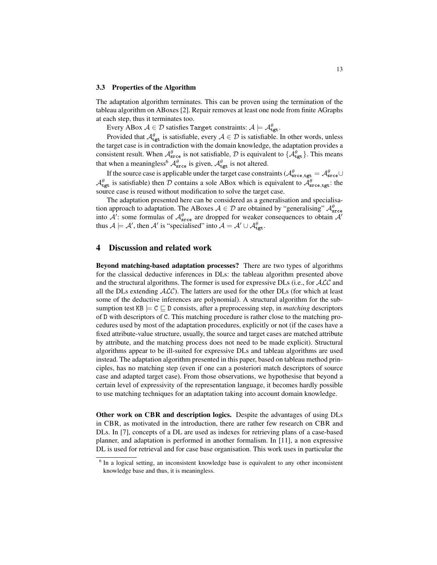#### 3.3 Properties of the Algorithm

The adaptation algorithm terminates. This can be proven using the termination of the tableau algorithm on ABoxes [2]. Repair removes at least one node from finite AGraphs at each step, thus it terminates too.

Every ABox  $\mathcal{A}\in\mathcal{D}$  satisfies Target constraints:  $\mathcal{A}\models\mathcal{A}^{\theta}_{\mathtt{tgt}}.$ 

Provided that  $\mathcal{A}^{\theta}_{\texttt{tgt}}$  is satisfiable, every  $\mathcal{A} \in \mathcal{D}$  is satisfiable. In other words, unless the target case is in contradiction with the domain knowledge, the adaptation provides a consistent result. When  $A^{\theta}_{\texttt{srce}}$  is not satisfiable,  $D$  is equivalent to  $\{A^{\theta}_{\texttt{tgt}}\}$ . This means that when a meaningless<sup>6</sup>  $\mathcal{A}^{\theta}_{\text{srce}}$  is given,  $\mathcal{A}^{\theta}_{\text{tgt}}$  is not altered.

If the source case is applicable under the target case constraints ( $\mathcal{A}^{\theta}_{\tt{srce}, \tt{tgt}} = \mathcal{A}^{\theta}_{\tt{srce}} \cup$  $\mathcal{A}_{\text{tgt}}^{\theta}$  is satisfiable) then D contains a sole ABox which is equivalent to  $\mathcal{A}_{\text{srce,tgt}}^{\theta}$ : the source case is reused without modification to solve the target case.

The adaptation presented here can be considered as a generalisation and specialisation approach to adaptation. The ABoxes  $A \in \mathcal{D}$  are obtained by "generalising"  $\mathcal{A}^{\theta}_{\text{src}}$ into A': some formulas of  $\mathcal{A}^{\theta}_{\text{srce}}$  are dropped for weaker consequences to obtain A' thus  $A \models A'$ , then A' is "specialised" into  $A = A' \cup A_{\text{tgt}}^{\theta}$ .

# 4 Discussion and related work

Beyond matching-based adaptation processes? There are two types of algorithms for the classical deductive inferences in DLs: the tableau algorithm presented above and the structural algorithms. The former is used for expressive DLs (i.e., for  $ALC$  and all the DLs extending  $ALC$ ). The latters are used for the other DLs (for which at least some of the deductive inferences are polynomial). A structural algorithm for the subsumption test  $KB \models C \sqsubseteq D$  consists, after a preprocessing step, in *matching* descriptors of D with descriptors of C. This matching procedure is rather close to the matching procedures used by most of the adaptation procedures, explicitly or not (if the cases have a fixed attribute-value structure, usually, the source and target cases are matched attribute by attribute, and the matching process does not need to be made explicit). Structural algorithms appear to be ill-suited for expressive DLs and tableau algorithms are used instead. The adaptation algorithm presented in this paper, based on tableau method principles, has no matching step (even if one can a posteriori match descriptors of source case and adapted target case). From those observations, we hypothesise that beyond a certain level of expressivity of the representation language, it becomes hardly possible to use matching techniques for an adaptation taking into account domain knowledge.

Other work on CBR and description logics. Despite the advantages of using DLs in CBR, as motivated in the introduction, there are rather few research on CBR and DLs. In [7], concepts of a DL are used as indexes for retrieving plans of a case-based planner, and adaptation is performed in another formalism. In [11], a non expressive DL is used for retrieval and for case base organisation. This work uses in particular the

<sup>&</sup>lt;sup>6</sup> In a logical setting, an inconsistent knowledge base is equivalent to any other inconsistent knowledge base and thus, it is meaningless.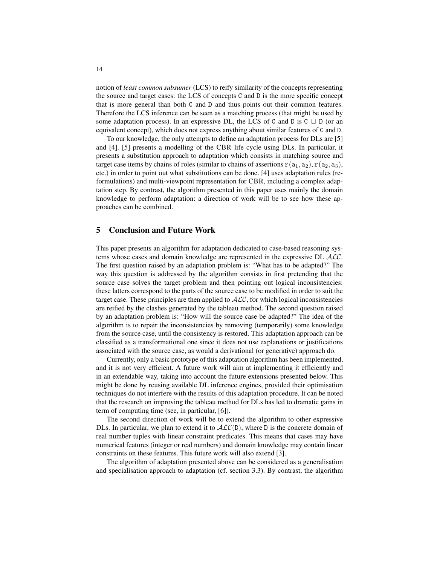notion of *least common subsumer* (LCS) to reify similarity of the concepts representing the source and target cases: the LCS of concepts  $C$  and  $D$  is the more specific concept that is more general than both  $C$  and  $D$  and thus points out their common features. Therefore the LCS inference can be seen as a matching process (that might be used by some adaptation process). In an expressive DL, the LCS of  $C$  and  $D$  is  $C \sqcup D$  (or an equivalent concept), which does not express anything about similar features of C and D.

To our knowledge, the only attempts to define an adaptation process for DLs are [5] and [4]. [5] presents a modelling of the CBR life cycle using DLs. In particular, it presents a substitution approach to adaptation which consists in matching source and target case items by chains of roles (similar to chains of assertions  $r(a_1, a_2)$ ,  $r(a_2, a_3)$ , etc.) in order to point out what substitutions can be done. [4] uses adaptation rules (reformulations) and multi-viewpoint representation for CBR, including a complex adaptation step. By contrast, the algorithm presented in this paper uses mainly the domain knowledge to perform adaptation: a direction of work will be to see how these approaches can be combined.

# 5 Conclusion and Future Work

This paper presents an algorithm for adaptation dedicated to case-based reasoning systems whose cases and domain knowledge are represented in the expressive DL ALC. The first question raised by an adaptation problem is: "What has to be adapted?" The way this question is addressed by the algorithm consists in first pretending that the source case solves the target problem and then pointing out logical inconsistencies: these latters correspond to the parts of the source case to be modified in order to suit the target case. These principles are then applied to  $ALC$ , for which logical inconsistencies are reified by the clashes generated by the tableau method. The second question raised by an adaptation problem is: "How will the source case be adapted?" The idea of the algorithm is to repair the inconsistencies by removing (temporarily) some knowledge from the source case, until the consistency is restored. This adaptation approach can be classified as a transformational one since it does not use explanations or justifications associated with the source case, as would a derivational (or generative) approach do.

Currently, only a basic prototype of this adaptation algorithm has been implemented, and it is not very efficient. A future work will aim at implementing it efficiently and in an extendable way, taking into account the future extensions presented below. This might be done by reusing available DL inference engines, provided their optimisation techniques do not interfere with the results of this adaptation procedure. It can be noted that the research on improving the tableau method for DLs has led to dramatic gains in term of computing time (see, in particular, [6]).

The second direction of work will be to extend the algorithm to other expressive DLs. In particular, we plan to extend it to  $ALC(D)$ , where D is the concrete domain of real number tuples with linear constraint predicates. This means that cases may have numerical features (integer or real numbers) and domain knowledge may contain linear constraints on these features. This future work will also extend [3].

The algorithm of adaptation presented above can be considered as a generalisation and specialisation approach to adaptation (cf. section 3.3). By contrast, the algorithm